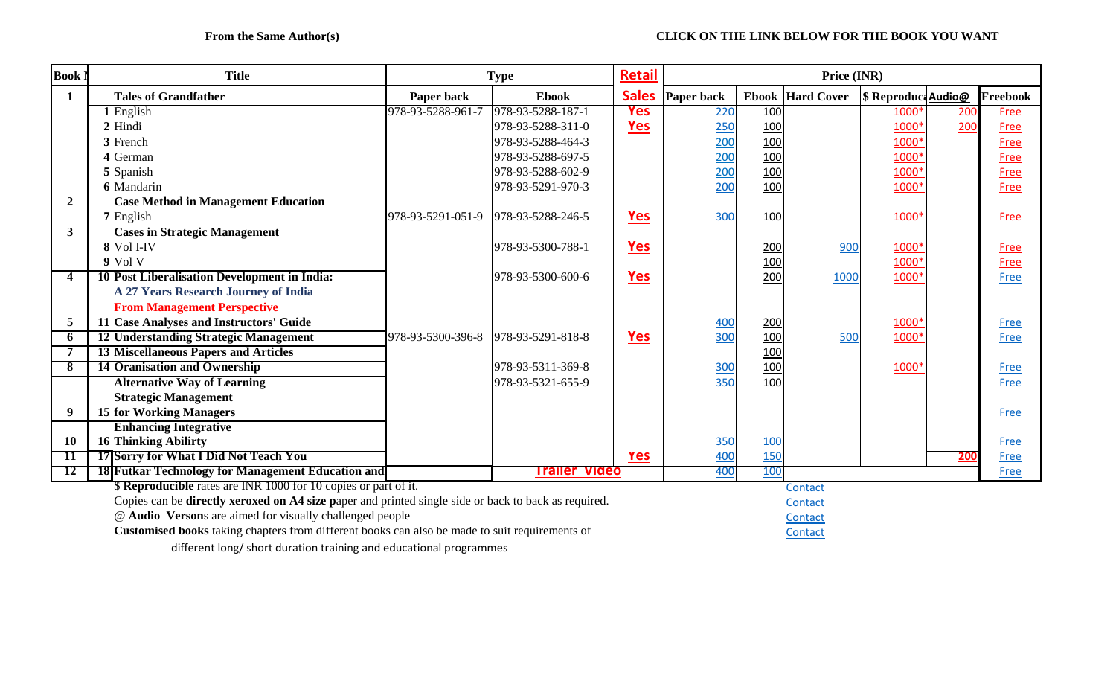| <b>Book</b>                                                                                          |                                                                        | <b>Title</b>                                        | <b>Type</b>                            |                      | <b>Retail</b> | Price (INR)     |            |                         |                     |      |             |  |
|------------------------------------------------------------------------------------------------------|------------------------------------------------------------------------|-----------------------------------------------------|----------------------------------------|----------------------|---------------|-----------------|------------|-------------------------|---------------------|------|-------------|--|
| 1                                                                                                    |                                                                        | <b>Tales of Grandfather</b>                         | Paper back                             | <b>Ebook</b>         | <b>Sales</b>  | Paper back      |            | <b>Ebook</b> Hard Cover | \$ Reproduct Audio@ |      | Freebook    |  |
|                                                                                                      |                                                                        | $1$ English                                         | 978-93-5288-961-7                      | 978-93-5288-187-1    | <u>Yes</u>    | 220             | 100        |                         | 1000*               | 200  | <b>Free</b> |  |
|                                                                                                      |                                                                        | $2$ Hindi                                           |                                        | 978-93-5288-311-0    | Yes           | 250             | 100        |                         | 1000*               | 200  | Free        |  |
|                                                                                                      |                                                                        | 3 French                                            |                                        | 978-93-5288-464-3    |               | 200             | 100        |                         | 1000*               |      | Free        |  |
|                                                                                                      |                                                                        | 4 German                                            |                                        | 978-93-5288-697-5    |               | 200             | 100        |                         | 1000*               |      | Free        |  |
|                                                                                                      |                                                                        | 5 Spanish                                           |                                        | 978-93-5288-602-9    |               | 200             | 100        |                         | 1000*               |      | Free        |  |
|                                                                                                      |                                                                        | 6 Mandarin                                          |                                        | 978-93-5291-970-3    |               | 200             | 100        |                         | 1000*               |      | Free        |  |
| 2                                                                                                    |                                                                        | <b>Case Method in Management Education</b>          |                                        |                      |               |                 |            |                         |                     |      |             |  |
|                                                                                                      |                                                                        | 7 English                                           | 978-93-5291-051-9    978-93-5288-246-5 |                      | <u>Yes</u>    | 300             | 100        |                         | 1000*               |      | Free        |  |
| $\mathbf{3}$                                                                                         |                                                                        | <b>Cases in Strategic Management</b>                |                                        |                      |               |                 |            |                         |                     |      |             |  |
|                                                                                                      |                                                                        | 8 Vol I-IV                                          |                                        | 978-93-5300-788-1    | Yes           |                 | 200        | 900                     | 1000*               |      | <b>Free</b> |  |
|                                                                                                      |                                                                        | $9$ Vol V                                           |                                        |                      |               |                 | 100        |                         | 1000*               |      | Free        |  |
| $\boldsymbol{4}$                                                                                     |                                                                        | <b>10 Post Liberalisation Development in India:</b> |                                        | 978-93-5300-600-6    | <b>Yes</b>    |                 | 200        | 1000                    | 1000*               |      | Free        |  |
|                                                                                                      |                                                                        | A 27 Years Research Journey of India                |                                        |                      |               |                 |            |                         |                     |      |             |  |
|                                                                                                      |                                                                        | <b>From Management Perspective</b>                  |                                        |                      |               |                 |            |                         |                     |      |             |  |
| 5                                                                                                    |                                                                        | 11 Case Analyses and Instructors' Guide             |                                        |                      |               | 400             | 200        |                         | 1000*               |      | Free        |  |
| 6                                                                                                    |                                                                        | 12 Understanding Strategic Management               | 978-93-5300-396-8 978-93-5291-818-8    |                      | <b>Yes</b>    | 300             | 100        | 500                     | 1000*               |      | Free        |  |
|                                                                                                      |                                                                        | <b>13 Miscellaneous Papers and Articles</b>         |                                        |                      |               |                 | 100        |                         |                     |      |             |  |
| 8                                                                                                    |                                                                        | 14 Oranisation and Ownership                        |                                        | 978-93-5311-369-8    |               | 30 <sub>C</sub> | 100        |                         | 1000*               |      | Free        |  |
|                                                                                                      |                                                                        | <b>Alternative Way of Learning</b>                  |                                        | 978-93-5321-655-9    |               | 350             | 100        |                         |                     |      | Free        |  |
|                                                                                                      |                                                                        | <b>Strategic Management</b>                         |                                        |                      |               |                 |            |                         |                     |      |             |  |
| 9                                                                                                    |                                                                        | 15 for Working Managers                             |                                        |                      |               |                 |            |                         |                     |      | Free        |  |
|                                                                                                      |                                                                        | <b>Enhancing Integrative</b>                        |                                        |                      |               |                 |            |                         |                     |      |             |  |
| <b>10</b>                                                                                            |                                                                        | 16 Thinking Abilirty                                |                                        |                      |               | 350             | <b>100</b> |                         |                     |      | Free        |  |
| -11                                                                                                  |                                                                        | 17 Sorry for What I Did Not Teach You               |                                        |                      | Yes           | 400             | <u>150</u> |                         |                     | 200  | Free        |  |
| <b>12</b>                                                                                            |                                                                        | 18 Futkar Technology for Management Education and   |                                        | <b>Trailer Video</b> | 400           | 100             |            |                         |                     | Free |             |  |
|                                                                                                      | <b>\$ Reproducible</b> rates are INR 1000 for 10 copies or part of it. |                                                     |                                        |                      |               |                 |            | Contact                 |                     |      |             |  |
| Copies can be directly xeroxed on A4 size paper and printed single side or back to back as required. |                                                                        |                                                     |                                        |                      |               |                 | Contact    |                         |                     |      |             |  |
|                                                                                                      | @ Audio Versons are aimed for visually challenged people               |                                                     |                                        |                      |               | Contact         |            |                         |                     |      |             |  |
| Customised books taking chapters from different books can also be made to suit requirements of       |                                                                        |                                                     |                                        |                      |               |                 |            | Contact                 |                     |      |             |  |
| different long/ short duration training and educational programmes                                   |                                                                        |                                                     |                                        |                      |               |                 |            |                         |                     |      |             |  |